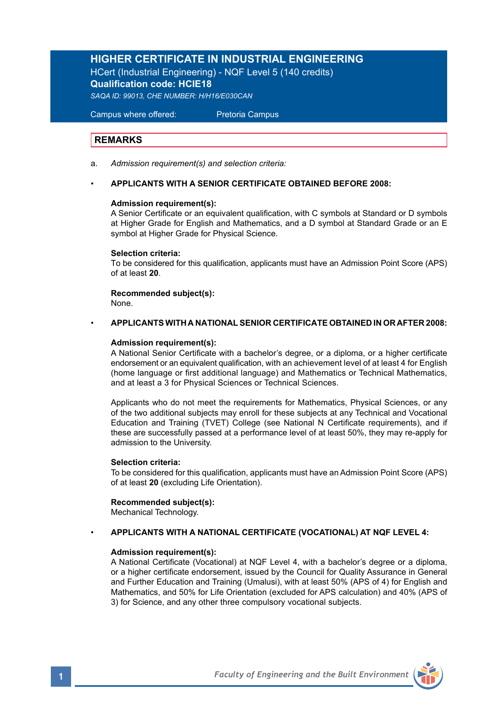# **HIGHER CERTIFICATE IN INDUSTRIAL ENGINEERING**

HCert (Industrial Engineering) - NQF Level 5 (140 credits) **Qualification code: HCIE18**

*SAQA ID: 99013, CHE NUMBER: H/H16/E030CAN* 

Campus where offered: Pretoria Campus

# **REMARKS**

a. *Admission requirement(s) and selection criteria:*

### • **APPLICANTS WITH A SENIOR CERTIFICATE OBTAINED BEFORE 2008:**

### **Admission requirement(s):**

A Senior Certificate or an equivalent qualification, with C symbols at Standard or D symbols at Higher Grade for English and Mathematics, and a D symbol at Standard Grade or an E symbol at Higher Grade for Physical Science.

### **Selection criteria:**

To be considered for this qualification, applicants must have an Admission Point Score (APS) of at least **20**.

## **Recommended subject(s):**

None.

### • **APPLICANTS WITH A NATIONAL SENIOR CERTIFICATE OBTAINED IN OR AFTER 2008:**

### **Admission requirement(s):**

A National Senior Certificate with a bachelor's degree, or a diploma, or a higher certificate endorsement or an equivalent qualification, with an achievement level of at least 4 for English (home language or first additional language) and Mathematics or Technical Mathematics, and at least a 3 for Physical Sciences or Technical Sciences.

Applicants who do not meet the requirements for Mathematics, Physical Sciences, or any of the two additional subjects may enroll for these subjects at any Technical and Vocational Education and Training (TVET) College (see National N Certificate requirements), and if these are successfully passed at a performance level of at least 50%, they may re-apply for admission to the University.

## **Selection criteria:**

To be considered for this qualification, applicants must have an Admission Point Score (APS) of at least **20** (excluding Life Orientation).

## **Recommended subject(s):**

Mechanical Technology.

### • **APPLICANTS WITH A NATIONAL CERTIFICATE (VOCATIONAL) AT NQF LEVEL 4:**

### **Admission requirement(s):**

A National Certificate (Vocational) at NQF Level 4, with a bachelor's degree or a diploma, or a higher certificate endorsement, issued by the Council for Quality Assurance in General and Further Education and Training (Umalusi), with at least 50% (APS of 4) for English and Mathematics, and 50% for Life Orientation (excluded for APS calculation) and 40% (APS of 3) for Science, and any other three compulsory vocational subjects.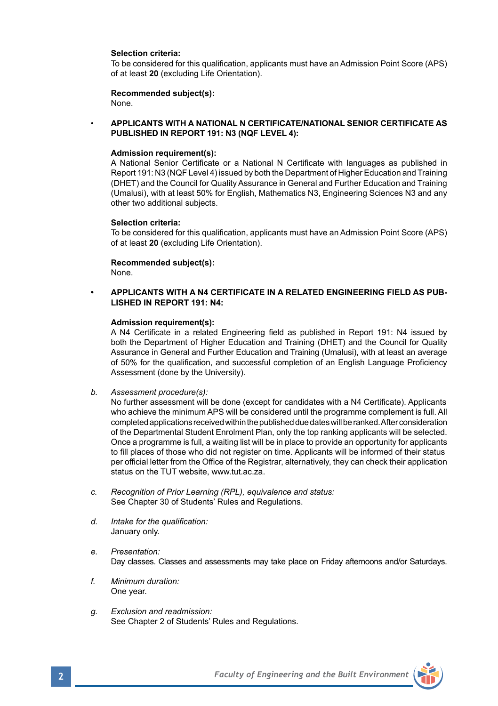### **Selection criteria:**

To be considered for this qualification, applicants must have an Admission Point Score (APS) of at least **20** (excluding Life Orientation).

### **Recommended subject(s):** None.

• **APPLICANTS WITH A NATIONAL N CERTIFICATE/NATIONAL SENIOR CERTIFICATE AS PUBLISHED IN REPORT 191: N3 (NQF LEVEL 4):**

### **Admission requirement(s):**

A National Senior Certificate or a National N Certificate with languages as published in Report 191: N3 (NQF Level 4) issued by both the Department of Higher Education and Training (DHET) and the Council for Quality Assurance in General and Further Education and Training (Umalusi), with at least 50% for English, Mathematics N3, Engineering Sciences N3 and any other two additional subjects.

### **Selection criteria:**

To be considered for this qualification, applicants must have an Admission Point Score (APS) of at least **20** (excluding Life Orientation).

## **Recommended subject(s):**

None.

## **• APPLICANTS WITH A N4 CERTIFICATE IN A RELATED ENGINEERING FIELD AS PUB-LISHED IN REPORT 191: N4:**

### **Admission requirement(s):**

A N4 Certificate in a related Engineering field as published in Report 191: N4 issued by both the Department of Higher Education and Training (DHET) and the Council for Quality Assurance in General and Further Education and Training (Umalusi), with at least an average of 50% for the qualification, and successful completion of an English Language Proficiency Assessment (done by the University).

*b. Assessment procedure(s):*

No further assessment will be done (except for candidates with a N4 Certificate). Applicants who achieve the minimum APS will be considered until the programme complement is full. All completed applications received within the published due dates will be ranked. After consideration of the Departmental Student Enrolment Plan, only the top ranking applicants will be selected. Once a programme is full, a waiting list will be in place to provide an opportunity for applicants to fill places of those who did not register on time. Applicants will be informed of their status per official letter from the Office of the Registrar, alternatively, they can check their application status on the TUT website, www.tut.ac.za.

- *c. Recognition of Prior Learning (RPL), equivalence and status:* See Chapter 30 of Students' Rules and Regulations.
- *d. Intake for the qualification:* January only.
- *e. Presentation:*  Day classes. Classes and assessments may take place on Friday afternoons and/or Saturdays.
- *f. Minimum duration:* One year.
- *g. Exclusion and readmission:* See Chapter 2 of Students' Rules and Regulations.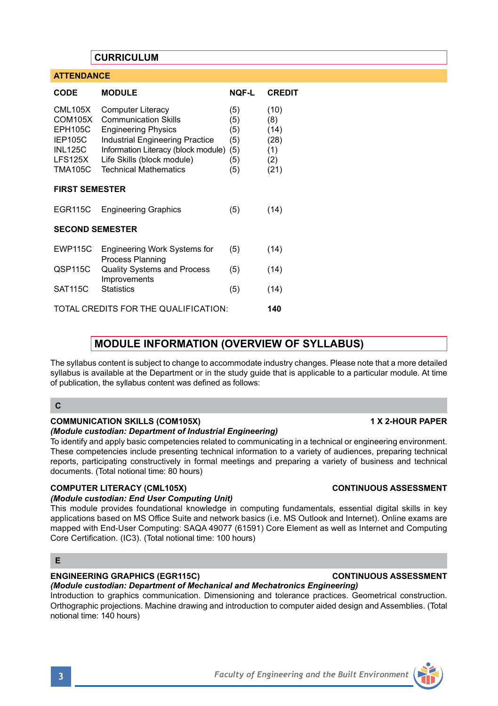# **CURRICULUM**

IEP105C Industrial Engineering Practice<br>INL125C Information Literacy (block modu

Process Planning

Improvements

**CODE MODULE NQF-L CREDIT** CML105X Computer Literacy (5) (10) COM105X Communication Skills (5) (8)<br>EPH105C Engineering Physics (5) (14) EPH105C Engineering Physics (5) (14)<br>IEP105C Industrial Engineering Practice (5) (28)

LFS125X Life Skills (block module) (5) (2)<br>TMA105C Technical Mathematics (5) (21

EGR115C Engineering Graphics (5) (14)

EWP115C Engineering Work Systems for (5) (14)

QSP115C Quality Systems and Process (5) (14)

SAT115C Statistics (5) (14) TOTAL CREDITS FOR THE QUALIFICATION: **140**

Information Literacy (block module) (5) (1)

Technical Mathematics (5) (21)

**ATTENDANCE**

**FIRST SEMESTER**

**SECOND SEMESTER**

# **MODULE INFORMATION (OVERVIEW OF SYLLABUS)**

The syllabus content is subject to change to accommodate industry changes. Please note that a more detailed syllabus is available at the Department or in the study guide that is applicable to a particular module. At time of publication, the syllabus content was defined as follows:

### **C**

### **COMMUNICATION SKILLS (COM105X) 1 X 2-HOUR PAPER**

### *(Module custodian: Department of Industrial Engineering)*

To identify and apply basic competencies related to communicating in a technical or engineering environment. These competencies include presenting technical information to a variety of audiences, preparing technical reports, participating constructively in formal meetings and preparing a variety of business and technical documents. (Total notional time: 80 hours)

### **COMPUTER LITERACY (CML105X) CONTINUOUS ASSESSMENT**

### *(Module custodian: End User Computing Unit)*

This module provides foundational knowledge in computing fundamentals, essential digital skills in key applications based on MS Office Suite and network basics (i.e. MS Outlook and Internet). Online exams are mapped with End-User Computing: SAQA 49077 (61591) Core Element as well as Internet and Computing Core Certification. (IC3). (Total notional time: 100 hours)

# **E**

*(Module custodian: Department of Mechanical and Mechatronics Engineering)*

Introduction to graphics communication. Dimensioning and tolerance practices. Geometrical construction. Orthographic projections. Machine drawing and introduction to computer aided design and Assemblies. (Total notional time: 140 hours)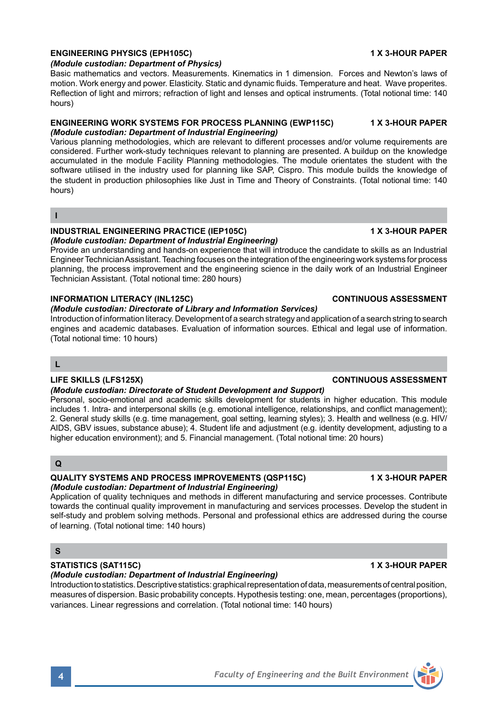# **ENGINEERING PHYSICS (EPH105C) 1 X 3-HOUR PAPER**

*(Module custodian: Department of Physics)*

Basic mathematics and vectors. Measurements. Kinematics in 1 dimension. Forces and Newton's laws of motion. Work energy and power. Elasticity. Static and dynamic fluids. Temperature and heat. Wave properites. Reflection of light and mirrors; refraction of light and lenses and optical instruments. (Total notional time: 140 hours)

### **ENGINEERING WORK SYSTEMS FOR PROCESS PLANNING (EWP115C) 1 X 3-HOUR PAPER**  *(Module custodian: Department of Industrial Engineering)*

Various planning methodologies, which are relevant to different processes and/or volume requirements are considered. Further work-study techniques relevant to planning are presented. A buildup on the knowledge accumulated in the module Facility Planning methodologies. The module orientates the student with the software utilised in the industry used for planning like SAP, Cispro. This module builds the knowledge of the student in production philosophies like Just in Time and Theory of Constraints. (Total notional time: 140 hours)

## **I**

### **INDUSTRIAL ENGINEERING PRACTICE (IEP105C) 1 X 3-HOUR PAPER**  *(Module custodian: Department of Industrial Engineering)*

Provide an understanding and hands-on experience that will introduce the candidate to skills as an Industrial Engineer Technician Assistant. Teaching focuses on the integration of the engineering work systems for process planning, the process improvement and the engineering science in the daily work of an Industrial Engineer Technician Assistant. (Total notional time: 280 hours)

# **INFORMATION LITERACY (INL125C) CONTINUOUS ASSESSMENT**

# *(Module custodian: Directorate of Library and Information Services)*

Introduction of information literacy. Development of a search strategy and application of a search string to search engines and academic databases. Evaluation of information sources. Ethical and legal use of information. (Total notional time: 10 hours)

## **L**

# *(Module custodian: Directorate of Student Development and Support)*

Personal, socio-emotional and academic skills development for students in higher education. This module includes 1. Intra- and interpersonal skills (e.g. emotional intelligence, relationships, and conflict management); 2. General study skills (e.g. time management, goal setting, learning styles); 3. Health and wellness (e.g. HIV/ AIDS, GBV issues, substance abuse); 4. Student life and adjustment (e.g. identity development, adjusting to a higher education environment); and 5. Financial management. (Total notional time: 20 hours)

# **Q**

## **QUALITY SYSTEMS AND PROCESS IMPROVEMENTS (QSP115C) 1 X 3-HOUR PAPER**  *(Module custodian: Department of Industrial Engineering)*

Application of quality techniques and methods in different manufacturing and service processes. Contribute towards the continual quality improvement in manufacturing and services processes. Develop the student in self-study and problem solving methods. Personal and professional ethics are addressed during the course of learning. (Total notional time: 140 hours)

# **S**

# **STATISTICS (SAT115C) 1 X 3-HOUR PAPER**

*(Module custodian: Department of Industrial Engineering)*

Introduction to statistics. Descriptive statistics: graphical representation of data, measurements of central position, measures of dispersion. Basic probability concepts. Hypothesis testing: one, mean, percentages (proportions), variances. Linear regressions and correlation. (Total notional time: 140 hours)

# **LIFE SKILLS (LFS125X) CONTINUOUS ASSESSMENT**